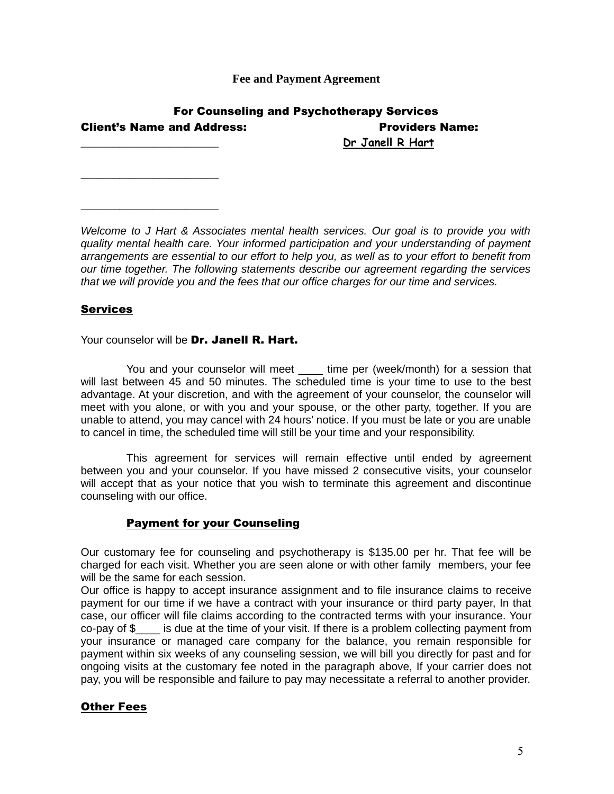**Fee and Payment Agreement**

| <b>For Counseling and Psychotherapy Services</b> |                        |
|--------------------------------------------------|------------------------|
| <b>Client's Name and Address:</b>                | <b>Providers Name:</b> |
|                                                  | Dr Janell R Hart       |

*Welcome to J Hart & Associates mental health services. Our goal is to provide you with quality mental health care. Your informed participation and your understanding of payment arrangements are essential to our effort to help you, as well as to your effort to benefit from our time together. The following statements describe our agreement regarding the services that we will provide you and the fees that our office charges for our time and services.*

## Services

\_\_\_\_\_\_\_\_\_\_\_\_\_\_\_\_\_\_\_\_\_\_\_\_\_

\_\_\_\_\_\_\_\_\_\_\_\_\_\_\_\_\_\_\_\_\_\_\_\_\_

Your counselor will be Dr. Janell R. Hart.

You and your counselor will meet time per (week/month) for a session that will last between 45 and 50 minutes. The scheduled time is your time to use to the best advantage. At your discretion, and with the agreement of your counselor, the counselor will meet with you alone, or with you and your spouse, or the other party, together. If you are unable to attend, you may cancel with 24 hours' notice. If you must be late or you are unable to cancel in time, the scheduled time will still be your time and your responsibility.

This agreement for services will remain effective until ended by agreement between you and your counselor. If you have missed 2 consecutive visits, your counselor will accept that as your notice that you wish to terminate this agreement and discontinue counseling with our office.

## Payment for your Counseling

Our customary fee for counseling and psychotherapy is \$135.00 per hr. That fee will be charged for each visit. Whether you are seen alone or with other family members, your fee will be the same for each session.

Our office is happy to accept insurance assignment and to file insurance claims to receive payment for our time if we have a contract with your insurance or third party payer, In that case, our officer will file claims according to the contracted terms with your insurance. Your  $co$ -pay of  $\$\$  is due at the time of your visit. If there is a problem collecting payment from your insurance or managed care company for the balance, you remain responsible for payment within six weeks of any counseling session, we will bill you directly for past and for ongoing visits at the customary fee noted in the paragraph above, If your carrier does not pay, you will be responsible and failure to pay may necessitate a referral to another provider.

## Other Fees